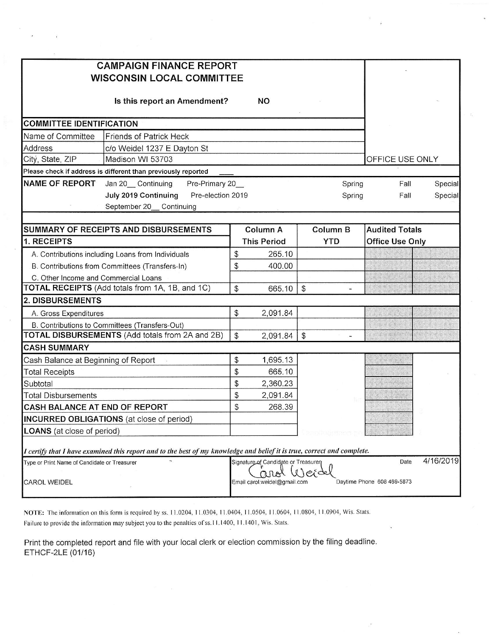| <b>CAMPAIGN FINANCE REPORT</b>                                                                                          |                |                                     |                       |                            |           |
|-------------------------------------------------------------------------------------------------------------------------|----------------|-------------------------------------|-----------------------|----------------------------|-----------|
| <b>WISCONSIN LOCAL COMMITTEE</b>                                                                                        |                |                                     |                       |                            |           |
|                                                                                                                         |                |                                     |                       |                            |           |
| Is this report an Amendment?                                                                                            |                | <b>NO</b>                           |                       |                            |           |
| <b>COMMITTEE IDENTIFICATION</b>                                                                                         |                |                                     |                       |                            |           |
| Name of Committee<br><b>Friends of Patrick Heck</b>                                                                     |                |                                     |                       |                            |           |
| Address<br>c/o Weidel 1237 E Dayton St                                                                                  |                |                                     |                       |                            |           |
| Madison WI 53703<br>City, State, ZIP                                                                                    |                |                                     |                       | OFFICE USE ONLY            |           |
| Please check if address is different than previously reported                                                           |                |                                     |                       |                            |           |
| <b>NAME OF REPORT</b><br>Jan 20 Continuing<br>Pre-Primary 20_                                                           |                |                                     | Spring                | Fall                       | Special   |
| July 2019 Continuing<br>Pre-election 2019                                                                               |                |                                     | Spring                | Fall                       | Special   |
| September 20_ Continuing                                                                                                |                |                                     |                       |                            |           |
|                                                                                                                         |                |                                     |                       |                            |           |
| <b>SUMMARY OF RECEIPTS AND DISBURSEMENTS</b>                                                                            |                | Column A                            | <b>Column B</b>       | <b>Audited Totals</b>      |           |
| 1. RECEIPTS                                                                                                             |                | <b>This Period</b>                  | <b>YTD</b>            | <b>Office Use Only</b>     |           |
| A. Contributions including Loans from Individuals                                                                       | \$             | 265.10                              |                       |                            |           |
| B. Contributions from Committees (Transfers-In)                                                                         | \$             | 400.00                              |                       |                            |           |
| C. Other Income and Commercial Loans                                                                                    |                |                                     |                       |                            |           |
| TOTAL RECEIPTS (Add totals from 1A, 1B, and 1C)                                                                         | $\mathfrak{S}$ | 665.10                              | $\mathfrak{S}$        |                            |           |
| <b>2. DISBURSEMENTS</b>                                                                                                 |                |                                     |                       |                            |           |
| A. Gross Expenditures                                                                                                   | $\mathcal{S}$  | 2,091.84                            |                       |                            |           |
| B. Contributions to Committees (Transfers-Out)                                                                          |                |                                     |                       |                            |           |
| TOTAL DISBURSEMENTS (Add totals from 2A and 2B)                                                                         | $\mathcal{S}$  | 2,091.84                            | $\boldsymbol{\theta}$ |                            |           |
| <b>CASH SUMMARY</b>                                                                                                     |                |                                     |                       |                            |           |
| Cash Balance at Beginning of Report                                                                                     | \$             | 1,695.13                            |                       |                            |           |
| <b>Total Receipts</b>                                                                                                   | \$             | 665.10                              |                       |                            |           |
| Subtotal                                                                                                                | \$             | 2,360.23                            |                       |                            |           |
| <b>Total Disbursements</b>                                                                                              | \$             | 2,091.84                            |                       |                            |           |
| <b>CASH BALANCE AT END OF REPORT</b>                                                                                    | $\mathcal{L}$  | 268.39                              |                       |                            |           |
| <b>INCURRED OBLIGATIONS</b> (at close of period)                                                                        |                |                                     |                       |                            |           |
| <b>LOANS</b> (at close of period)                                                                                       |                |                                     |                       |                            |           |
| I certify that I have examined this report and to the best of my knowledge and belief it is true, correct and complete. |                |                                     |                       |                            |           |
| Type or Print Name of Candidate or Treasurer                                                                            |                | Signature of Candidate or Treasurer |                       | Date                       | 4/16/2019 |
|                                                                                                                         |                |                                     |                       |                            |           |
| <b>CAROL WEIDEL</b>                                                                                                     |                | Email carol.weidel@gmail.com        |                       | Daytime Phone 608 469-5873 |           |
|                                                                                                                         |                |                                     |                       |                            |           |

NOTE: The information on this form is required by ss. 11.0204, 11.0304, 11.0404, 11.0504, 11.0604, 11.0804, 11.0904, Wis. Stats. Failure to provide the information may subject you to the penalties of ss.11.1400, 11.1401, Wis. Stats.

Print the completed report and file with your local clerk or election commission by the filing deadline.<br>ETHCF-2LE (01/16)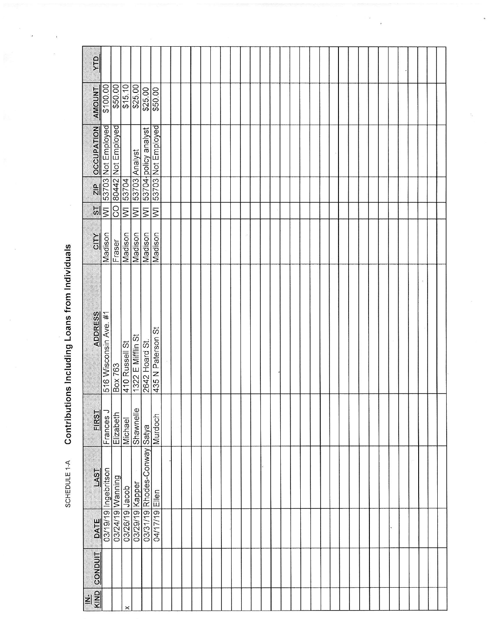| УTД                             |                                  |                    |                                              |                         |                      |                         |  |  |  |  |  |  |  |  |  |  |  |  |  |  |  |
|---------------------------------|----------------------------------|--------------------|----------------------------------------------|-------------------------|----------------------|-------------------------|--|--|--|--|--|--|--|--|--|--|--|--|--|--|--|
| <b>AMOUNT</b>                   | \$100.00                         |                    | \$50.00                                      |                         | \$25.00              | \$50.00                 |  |  |  |  |  |  |  |  |  |  |  |  |  |  |  |
| <b>OCCUPATION</b>               | 53703 Not Employed               | 80442 Not Employed |                                              | 53703 Analyst           | 53704 policy analyst | 53703 Not Employed      |  |  |  |  |  |  |  |  |  |  |  |  |  |  |  |
| $\frac{2}{2}$<br>ы              | $\overline{\ge}$                 | <b>CO</b>          | 53704<br>$\overline{\overline{\varepsilon}}$ | $\overline{\mathsf{M}}$ | $ \overline{\ge}$    | $\overline{\mathsf{S}}$ |  |  |  |  |  |  |  |  |  |  |  |  |  |  |  |
| CITY                            | Madison                          | Fraser             | Madison                                      | Madison                 | Madison              | Madison                 |  |  |  |  |  |  |  |  |  |  |  |  |  |  |  |
|                                 | ADDRESS<br>516 Wisconsin Ave. #1 | Box 763            | 410 Russell St                               | 1322 E Mifflin St       | 2642 Hoard St.       | 435 N Paterson St       |  |  |  |  |  |  |  |  |  |  |  |  |  |  |  |
| FIRST                           | Frances J                        | Elizabeth          | Michael                                      | Shawnelle               |                      | Murdoch                 |  |  |  |  |  |  |  |  |  |  |  |  |  |  |  |
| LAST                            | TSAL MARY MARKED<br>TSAL MARKED  | 03/24/19 Wanning   | dacob                                        |                         | Rhodes-Conway Satya  |                         |  |  |  |  |  |  |  |  |  |  |  |  |  |  |  |
|                                 |                                  |                    | 03/26/19                                     | 03/29/19 Kapper         | 03/31/19             | 04/17/19 Ellen          |  |  |  |  |  |  |  |  |  |  |  |  |  |  |  |
| <b>CONDUIT</b>                  |                                  |                    |                                              |                         |                      |                         |  |  |  |  |  |  |  |  |  |  |  |  |  |  |  |
| KIND<br>$\overline{\mathbf{z}}$ |                                  |                    |                                              |                         |                      |                         |  |  |  |  |  |  |  |  |  |  |  |  |  |  |  |

 $\overline{\phantom{a}}$ 

Contributions Including Loans from Individuals SCHEDULE 1-A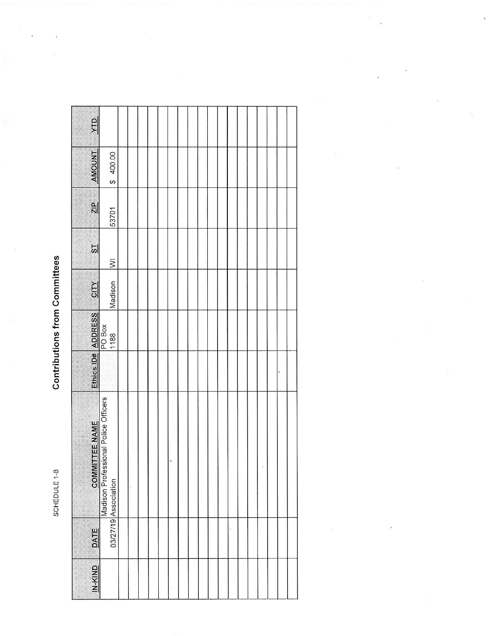SCHEDULE 1-B

## **Contributions from Committees**

| $rac{d}{dx}$          |                                                                                                                                                                                                                       |  |  |  |  |  |  |  |  |  |
|-----------------------|-----------------------------------------------------------------------------------------------------------------------------------------------------------------------------------------------------------------------|--|--|--|--|--|--|--|--|--|
|                       |                                                                                                                                                                                                                       |  |  |  |  |  |  |  |  |  |
| <b>AMOUNT</b>         | \$400.00                                                                                                                                                                                                              |  |  |  |  |  |  |  |  |  |
| $rac{P}{\sqrt{2}}$    | 53701                                                                                                                                                                                                                 |  |  |  |  |  |  |  |  |  |
| 51                    | $\overline{\geq}$                                                                                                                                                                                                     |  |  |  |  |  |  |  |  |  |
| <b>ZIIO</b>           | Madison                                                                                                                                                                                                               |  |  |  |  |  |  |  |  |  |
|                       |                                                                                                                                                                                                                       |  |  |  |  |  |  |  |  |  |
|                       | $\begin{tabular}{ c c } \hline \texttt{Etnics ID# ADDRESS} \\ \hline \texttt{PO Box} \\ \hline \texttt{PO Box} \\ \texttt{1188} \\ \end{tabular} \begin{tabular}{ c c } \hline \texttt{EMSI} \\ \hline \end{tabular}$ |  |  |  |  |  |  |  |  |  |
| <b>COMMITTEE NAME</b> | Madison Professional Police Officers<br>03/27/19 Association                                                                                                                                                          |  |  |  |  |  |  |  |  |  |
| <b>DATE</b>           |                                                                                                                                                                                                                       |  |  |  |  |  |  |  |  |  |
| <b>UN-KIND</b>        |                                                                                                                                                                                                                       |  |  |  |  |  |  |  |  |  |

 $\overline{\phantom{a}}$